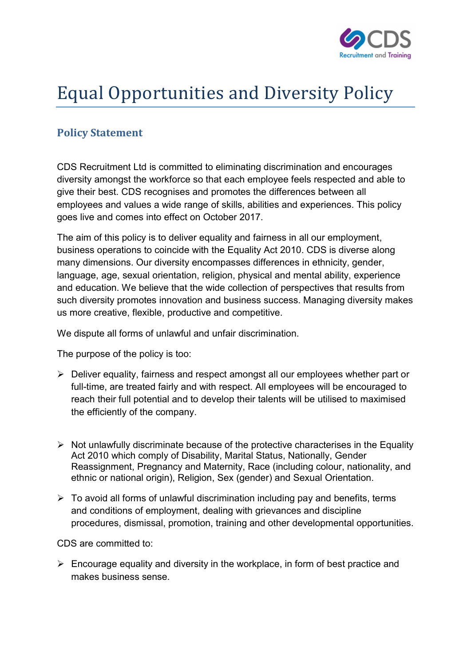

## Equal Opportunities and Diversity Policy

## Policy Statement

CDS Recruitment Ltd is committed to eliminating discrimination and encourages diversity amongst the workforce so that each employee feels respected and able to give their best. CDS recognises and promotes the differences between all employees and values a wide range of skills, abilities and experiences. This policy goes live and comes into effect on October 2017.

The aim of this policy is to deliver equality and fairness in all our employment, business operations to coincide with the Equality Act 2010. CDS is diverse along many dimensions. Our diversity encompasses differences in ethnicity, gender, language, age, sexual orientation, religion, physical and mental ability, experience and education. We believe that the wide collection of perspectives that results from such diversity promotes innovation and business success. Managing diversity makes us more creative, flexible, productive and competitive.

We dispute all forms of unlawful and unfair discrimination.

The purpose of the policy is too:

- Deliver equality, fairness and respect amongst all our employees whether part or full-time, are treated fairly and with respect. All employees will be encouraged to reach their full potential and to develop their talents will be utilised to maximised the efficiently of the company.
- $\triangleright$  Not unlawfully discriminate because of the protective characterises in the Equality Act 2010 which comply of Disability, Marital Status, Nationally, Gender Reassignment, Pregnancy and Maternity, Race (including colour, nationality, and ethnic or national origin), Religion, Sex (gender) and Sexual Orientation.
- $\triangleright$  To avoid all forms of unlawful discrimination including pay and benefits, terms and conditions of employment, dealing with grievances and discipline procedures, dismissal, promotion, training and other developmental opportunities.

CDS are committed to:

 $\triangleright$  Encourage equality and diversity in the workplace, in form of best practice and makes business sense.